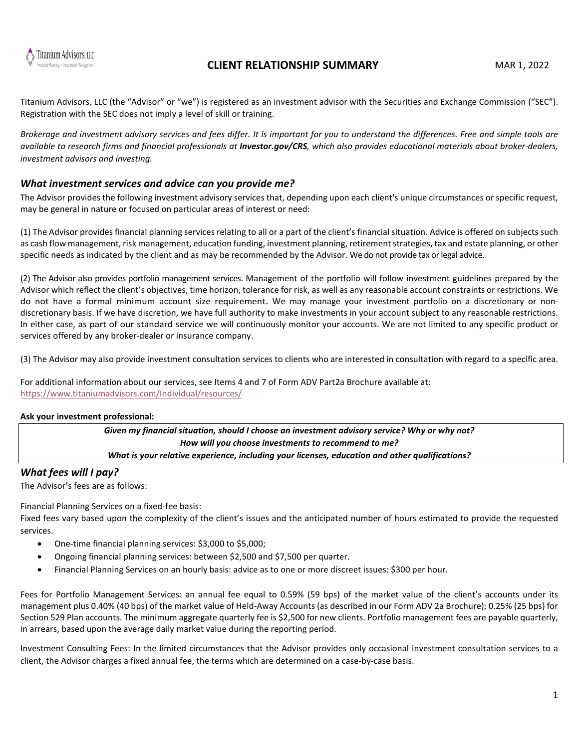

Titanium Advisors, LLC (the "Advisor" or "we") is registered as an investment advisor with the Securities and Exchange Commission ("SEC"). Registration with the SEC does not imply a level of skill or training.

*Brokerage and investment advisory services and fees differ. It is important for you to understand the differences. Free and simple tools are available to research firms and financial professionals at Investor.gov/CRS, which also provides educational materials about broker-dealers, investment advisors and investing.*

### *What investment services and advice can you provide me?*

The Advisor provides the following investment advisory services that, depending upon each client's unique circumstances or specific request, may be general in nature or focused on particular areas of interest or need:

(1) The Advisor provides financial planning services relating to all or a part of the client's financial situation. Advice is offered on subjects such as cash flow management, risk management, education funding, investment planning, retirement strategies, tax and estate planning, or other specific needs as indicated by the client and as may be recommended by the Advisor. We do not provide tax or legal advice.

(2) The Advisor also provides portfolio management services. Management of the portfolio will follow investment guidelines prepared by the Advisor which reflect the client's objectives, time horizon, tolerance for risk, as well as any reasonable account constraints or restrictions. We do not have a formal minimum account size requirement. We may manage your investment portfolio on a discretionary or nondiscretionary basis. If we have discretion, we have full authority to make investments in your account subject to any reasonable restrictions. In either case, as part of our standard service we will continuously monitor your accounts. We are not limited to any specific product or services offered by any broker-dealer or insurance company.

(3) The Advisor may also provide investment consultation services to clients who are interested in consultation with regard to a specific area.

For additional information about our services, see Items 4 and 7 of Form ADV Part2a Brochure available at: <https://www.titaniumadvisors.com/Individual/resources/>

### **Ask your investment professional:**

*Given my financial situation, should I choose an investment advisory service? Why or why not? How will you choose investments to recommend to me? What is your relative experience, including your licenses, education and other qualifications?*

## *What fees will I pay?*

The Advisor's fees are as follows:

Financial Planning Services on a fixed-fee basis:

Fixed fees vary based upon the complexity of the client's issues and the anticipated number of hours estimated to provide the requested services.

- One-time financial planning services: \$3,000 to \$5,000;
- Ongoing financial planning services: between \$2,500 and \$7,500 per quarter.
- Financial Planning Services on an hourly basis: advice as to one or more discreet issues: \$300 per hour.

Fees for Portfolio Management Services: an annual fee equal to 0.59% (59 bps) of the market value of the client's accounts under its management plus 0.40% (40 bps) of the market value of Held-Away Accounts (as described in our Form ADV 2a Brochure); 0.25% (25 bps) for Section 529 Plan accounts. The minimum aggregate quarterly fee is \$2,500 for new clients. Portfolio management fees are payable quarterly, in arrears, based upon the average daily market value during the reporting period.

Investment Consulting Fees: In the limited circumstances that the Advisor provides only occasional investment consultation services to a client, the Advisor charges a fixed annual fee, the terms which are determined on a case-by-case basis.